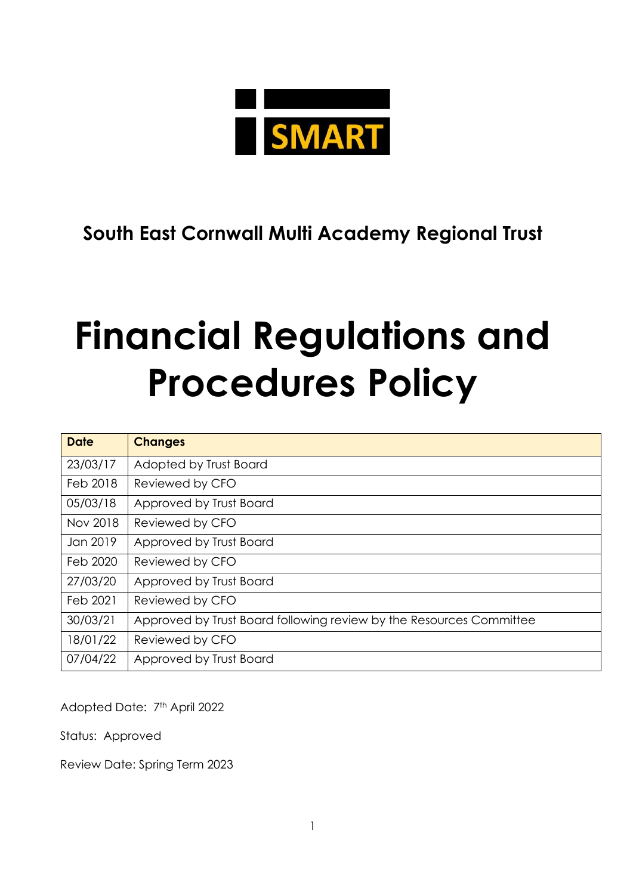

# **South East Cornwall Multi Academy Regional Trust**

# **Financial Regulations and Procedures Policy**

| <b>Date</b> | <b>Changes</b>                                                      |
|-------------|---------------------------------------------------------------------|
| 23/03/17    | Adopted by Trust Board                                              |
| Feb 2018    | Reviewed by CFO                                                     |
| 05/03/18    | Approved by Trust Board                                             |
| Nov 2018    | Reviewed by CFO                                                     |
| Jan 2019    | Approved by Trust Board                                             |
| Feb 2020    | Reviewed by CFO                                                     |
| 27/03/20    | Approved by Trust Board                                             |
| Feb 2021    | Reviewed by CFO                                                     |
| 30/03/21    | Approved by Trust Board following review by the Resources Committee |
| 18/01/22    | Reviewed by CFO                                                     |
| 07/04/22    | Approved by Trust Board                                             |

Adopted Date: 7<sup>th</sup> April 2022

Status: Approved

Review Date: Spring Term 2023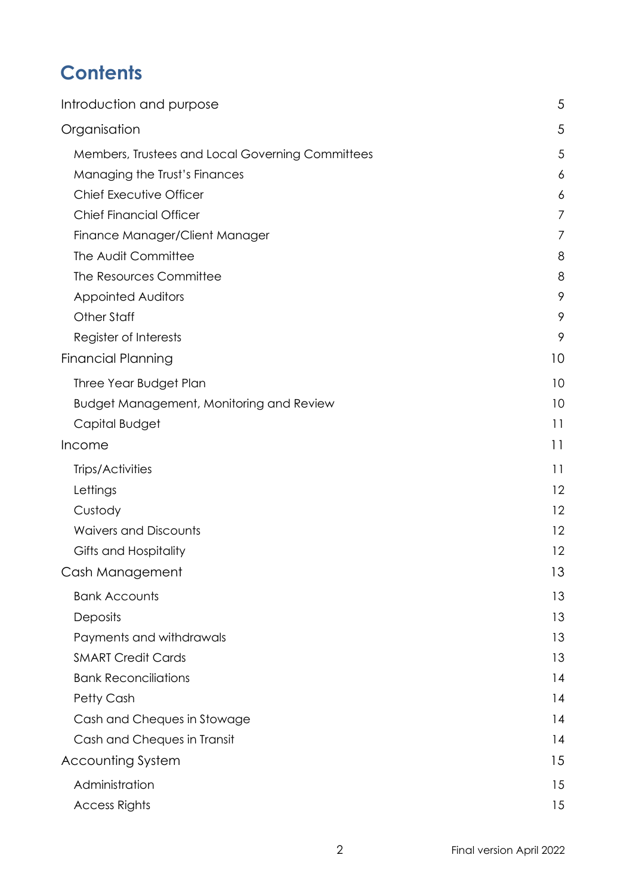# **Contents**

| Introduction and purpose                         | 5  |
|--------------------------------------------------|----|
| Organisation                                     | 5  |
| Members, Trustees and Local Governing Committees | 5  |
| Managing the Trust's Finances                    | 6  |
| Chief Executive Officer                          | 6  |
| <b>Chief Financial Officer</b>                   | 7  |
| Finance Manager/Client Manager                   | 7  |
| The Audit Committee                              | 8  |
| The Resources Committee                          | 8  |
| <b>Appointed Auditors</b>                        | 9  |
| Other Staff                                      | 9  |
| Register of Interests                            | 9  |
| <b>Financial Planning</b>                        | 10 |
| Three Year Budget Plan                           | 10 |
| <b>Budget Management, Monitoring and Review</b>  | 10 |
| Capital Budget                                   | 11 |
| Income                                           | 11 |
| Trips/Activities                                 | 11 |
| Lettings                                         | 12 |
| Custody                                          | 12 |
| <b>Waivers and Discounts</b>                     | 12 |
| Gifts and Hospitality                            | 12 |
| Cash Management                                  | 13 |
| <b>Bank Accounts</b>                             | 13 |
| Deposits                                         | 13 |
| Payments and withdrawals                         | 13 |
| <b>SMART Credit Cards</b>                        | 13 |
| <b>Bank Reconciliations</b>                      | 14 |
| Petty Cash                                       | 14 |
| Cash and Cheques in Stowage                      | 14 |
| Cash and Cheques in Transit                      | 14 |
| Accounting System                                | 15 |
| Administration                                   | 15 |
| <b>Access Rights</b>                             | 15 |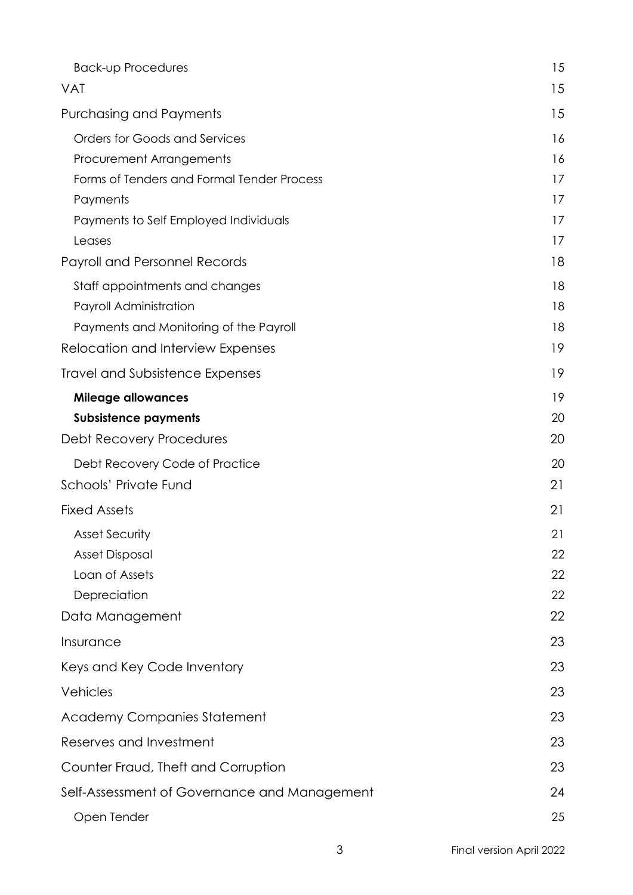| <b>Back-up Procedures</b>                    | 15 |
|----------------------------------------------|----|
| <b>VAT</b>                                   | 15 |
| <b>Purchasing and Payments</b>               | 15 |
| Orders for Goods and Services                | 16 |
| Procurement Arrangements                     | 16 |
| Forms of Tenders and Formal Tender Process   | 17 |
| Payments                                     | 17 |
| Payments to Self Employed Individuals        | 17 |
| Leases                                       | 17 |
| Payroll and Personnel Records                | 18 |
| Staff appointments and changes               | 18 |
| Payroll Administration                       | 18 |
| Payments and Monitoring of the Payroll       | 18 |
| Relocation and Interview Expenses            | 19 |
| <b>Travel and Subsistence Expenses</b>       | 19 |
| <b>Mileage allowances</b>                    | 19 |
| <b>Subsistence payments</b>                  | 20 |
| Debt Recovery Procedures                     | 20 |
| Debt Recovery Code of Practice               | 20 |
| Schools' Private Fund                        | 21 |
| <b>Fixed Assets</b>                          | 21 |
| <b>Asset Security</b>                        | 21 |
| <b>Asset Disposal</b>                        | 22 |
| Loan of Assets                               | 22 |
| Depreciation                                 | 22 |
| Data Management                              | 22 |
| Insurance                                    | 23 |
| Keys and Key Code Inventory                  | 23 |
| Vehicles                                     | 23 |
| <b>Academy Companies Statement</b>           | 23 |
| Reserves and Investment                      | 23 |
| Counter Fraud, Theft and Corruption          | 23 |
| Self-Assessment of Governance and Management | 24 |
| Open Tender                                  | 25 |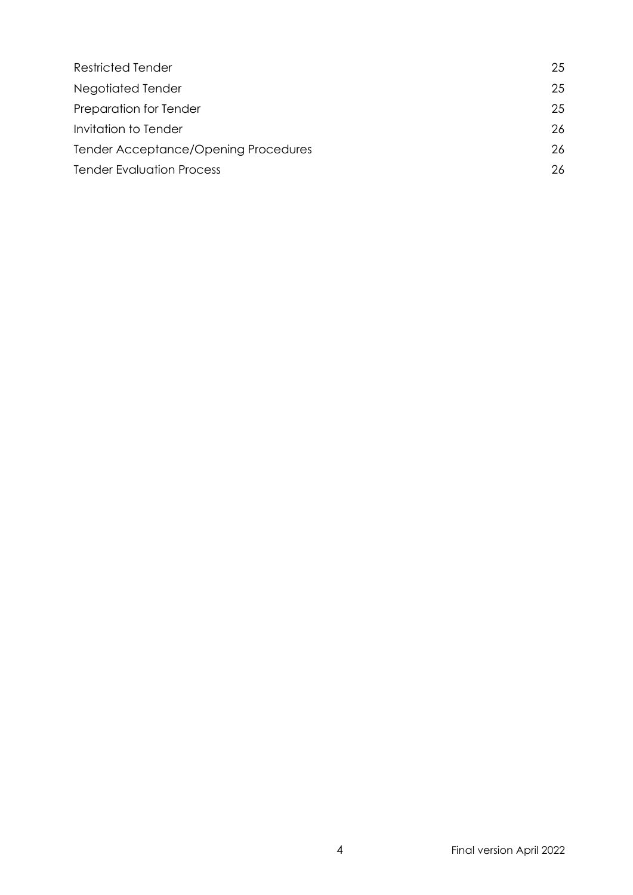| <b>Restricted Tender</b>             | 25 |
|--------------------------------------|----|
| Negotiated Tender                    | 25 |
| Preparation for Tender               | 25 |
| Invitation to Tender                 | 26 |
| Tender Acceptance/Opening Procedures | 26 |
| <b>Tender Evaluation Process</b>     |    |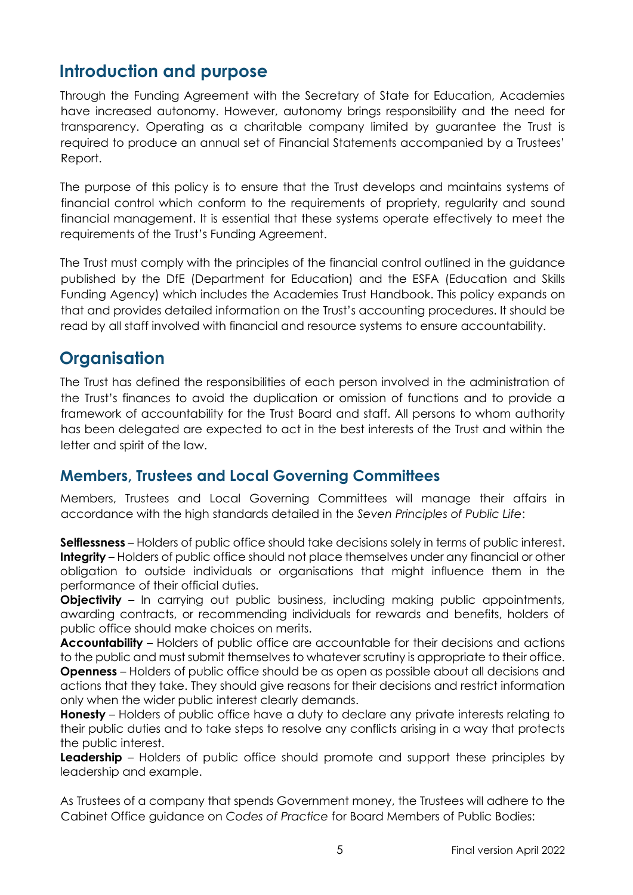# <span id="page-4-0"></span>**Introduction and purpose**

Through the Funding Agreement with the Secretary of State for Education, Academies have increased autonomy. However, autonomy brings responsibility and the need for transparency. Operating as a charitable company limited by guarantee the Trust is required to produce an annual set of Financial Statements accompanied by a Trustees' Report.

The purpose of this policy is to ensure that the Trust develops and maintains systems of financial control which conform to the requirements of propriety, regularity and sound financial management. It is essential that these systems operate effectively to meet the requirements of the Trust's Funding Agreement.

The Trust must comply with the principles of the financial control outlined in the guidance published by the DfE (Department for Education) and the ESFA (Education and Skills Funding Agency) which includes the Academies Trust Handbook. This policy expands on that and provides detailed information on the Trust's accounting procedures. It should be read by all staff involved with financial and resource systems to ensure accountability.

# <span id="page-4-1"></span>**Organisation**

The Trust has defined the responsibilities of each person involved in the administration of the Trust's finances to avoid the duplication or omission of functions and to provide a framework of accountability for the Trust Board and staff. All persons to whom authority has been delegated are expected to act in the best interests of the Trust and within the letter and spirit of the law.

#### <span id="page-4-2"></span>**Members, Trustees and Local Governing Committees**

Members, Trustees and Local Governing Committees will manage their affairs in accordance with the high standards detailed in the *Seven Principles of Public Life*:

**Selflessness** – Holders of public office should take decisions solely in terms of public interest. **Integrity** – Holders of public office should not place themselves under any financial or other obligation to outside individuals or organisations that might influence them in the performance of their official duties.

**Objectivity** – In carrying out public business, including making public appointments, awarding contracts, or recommending individuals for rewards and benefits, holders of public office should make choices on merits.

**Accountability** – Holders of public office are accountable for their decisions and actions to the public and must submit themselves to whatever scrutiny is appropriate to their office. **Openness** – Holders of public office should be as open as possible about all decisions and actions that they take. They should give reasons for their decisions and restrict information only when the wider public interest clearly demands.

**Honesty** – Holders of public office have a duty to declare any private interests relating to their public duties and to take steps to resolve any conflicts arising in a way that protects the public interest.

**Leadership** – Holders of public office should promote and support these principles by leadership and example.

As Trustees of a company that spends Government money, the Trustees will adhere to the Cabinet Office guidance on *Codes of Practice* for Board Members of Public Bodies: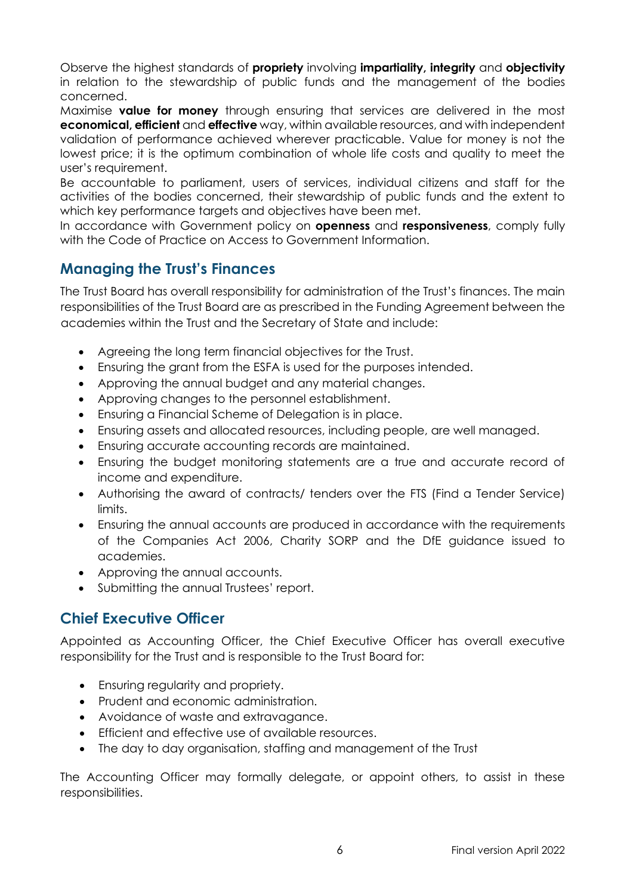Observe the highest standards of **propriety** involving **impartiality, integrity** and **objectivity** in relation to the stewardship of public funds and the management of the bodies concerned.

Maximise **value for money** through ensuring that services are delivered in the most **economical, efficient** and **effective** way, within available resources, and with independent validation of performance achieved wherever practicable. Value for money is not the lowest price; it is the optimum combination of whole life costs and quality to meet the user's requirement.

Be accountable to parliament, users of services, individual citizens and staff for the activities of the bodies concerned, their stewardship of public funds and the extent to which key performance targets and objectives have been met.

In accordance with Government policy on **openness** and **responsiveness**, comply fully with the Code of Practice on Access to Government Information.

#### <span id="page-5-0"></span>**Managing the Trust's Finances**

The Trust Board has overall responsibility for administration of the Trust's finances. The main responsibilities of the Trust Board are as prescribed in the Funding Agreement between the academies within the Trust and the Secretary of State and include:

- Agreeing the long term financial objectives for the Trust.
- Ensuring the grant from the ESFA is used for the purposes intended.
- Approving the annual budget and any material changes.
- Approving changes to the personnel establishment.
- Ensuring a Financial Scheme of Delegation is in place.
- Ensuring assets and allocated resources, including people, are well managed.
- Ensuring accurate accounting records are maintained.
- Ensuring the budget monitoring statements are a true and accurate record of income and expenditure.
- Authorising the award of contracts/ tenders over the FTS (Find a Tender Service) limits.
- Ensuring the annual accounts are produced in accordance with the requirements of the Companies Act 2006, Charity SORP and the DfE guidance issued to academies.
- Approving the annual accounts.
- Submitting the annual Trustees' report.

#### <span id="page-5-1"></span>**Chief Executive Officer**

Appointed as Accounting Officer, the Chief Executive Officer has overall executive responsibility for the Trust and is responsible to the Trust Board for:

- Ensuring regularity and propriety.
- Prudent and economic administration.
- Avoidance of waste and extravagance.
- Efficient and effective use of available resources.
- The day to day organisation, staffing and management of the Trust

The Accounting Officer may formally delegate, or appoint others, to assist in these responsibilities.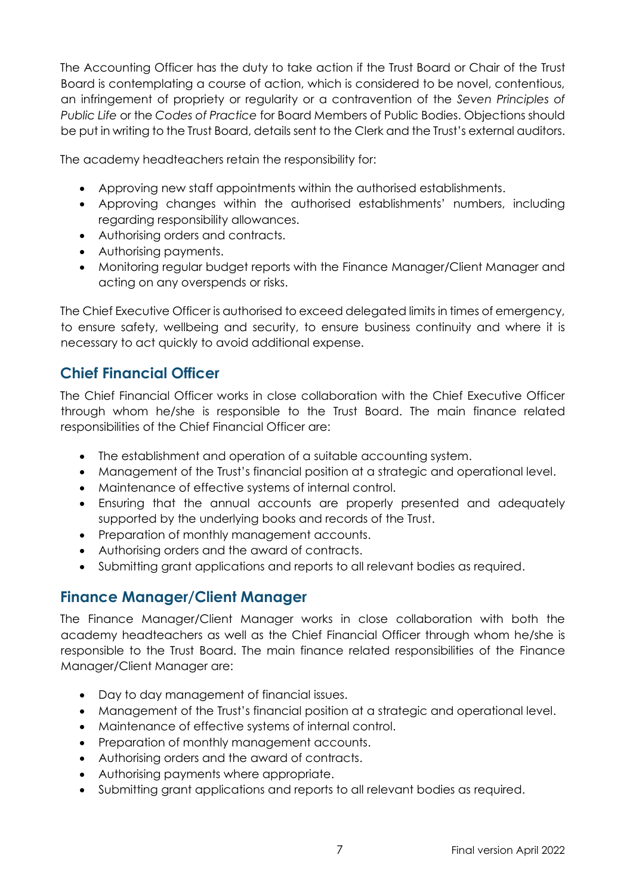The Accounting Officer has the duty to take action if the Trust Board or Chair of the Trust Board is contemplating a course of action, which is considered to be novel, contentious, an infringement of propriety or regularity or a contravention of the *Seven Principles of Public Life* or the *Codes of Practice* for Board Members of Public Bodies. Objections should be put in writing to the Trust Board, details sent to the Clerk and the Trust's external auditors.

The academy headteachers retain the responsibility for:

- Approving new staff appointments within the authorised establishments.
- Approving changes within the authorised establishments' numbers, including regarding responsibility allowances.
- Authorising orders and contracts.
- Authorising payments.
- Monitoring regular budget reports with the Finance Manager/Client Manager and acting on any overspends or risks.

The Chief Executive Officer is authorised to exceed delegated limits in times of emergency, to ensure safety, wellbeing and security, to ensure business continuity and where it is necessary to act quickly to avoid additional expense.

## <span id="page-6-0"></span>**Chief Financial Officer**

The Chief Financial Officer works in close collaboration with the Chief Executive Officer through whom he/she is responsible to the Trust Board. The main finance related responsibilities of the Chief Financial Officer are:

- The establishment and operation of a suitable accounting system.
- Management of the Trust's financial position at a strategic and operational level.
- Maintenance of effective systems of internal control.
- Ensuring that the annual accounts are properly presented and adequately supported by the underlying books and records of the Trust.
- Preparation of monthly management accounts.
- Authorising orders and the award of contracts.
- Submitting grant applications and reports to all relevant bodies as required.

#### <span id="page-6-1"></span>**Finance Manager/Client Manager**

The Finance Manager/Client Manager works in close collaboration with both the academy headteachers as well as the Chief Financial Officer through whom he/she is responsible to the Trust Board. The main finance related responsibilities of the Finance Manager/Client Manager are:

- Day to day management of financial issues.
- Management of the Trust's financial position at a strategic and operational level.
- Maintenance of effective systems of internal control.
- Preparation of monthly management accounts.
- Authorising orders and the award of contracts.
- Authorising payments where appropriate.
- Submitting grant applications and reports to all relevant bodies as required.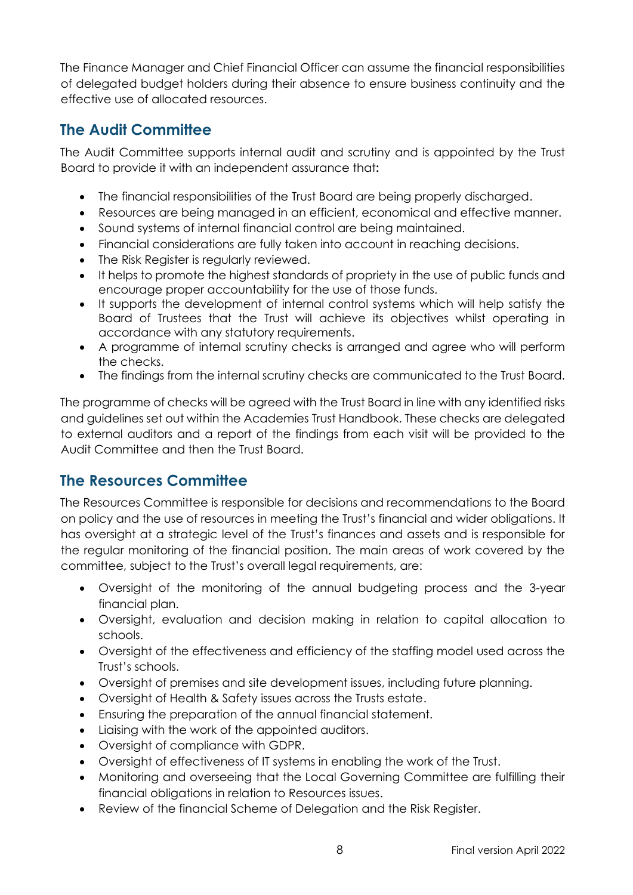The Finance Manager and Chief Financial Officer can assume the financial responsibilities of delegated budget holders during their absence to ensure business continuity and the effective use of allocated resources.

#### <span id="page-7-0"></span>**The Audit Committee**

The Audit Committee supports internal audit and scrutiny and is appointed by the Trust Board to provide it with an independent assurance that**:**

- The financial responsibilities of the Trust Board are being properly discharged.
- Resources are being managed in an efficient, economical and effective manner.
- Sound systems of internal financial control are being maintained.
- Financial considerations are fully taken into account in reaching decisions.
- The Risk Register is regularly reviewed.
- It helps to promote the highest standards of propriety in the use of public funds and encourage proper accountability for the use of those funds.
- It supports the development of internal control systems which will help satisfy the Board of Trustees that the Trust will achieve its objectives whilst operating in accordance with any statutory requirements.
- A programme of internal scrutiny checks is arranged and agree who will perform the checks.
- The findings from the internal scrutiny checks are communicated to the Trust Board.

The programme of checks will be agreed with the Trust Board in line with any identified risks and guidelines set out within the Academies Trust Handbook. These checks are delegated to external auditors and a report of the findings from each visit will be provided to the Audit Committee and then the Trust Board.

#### <span id="page-7-1"></span>**The Resources Committee**

The Resources Committee is responsible for decisions and recommendations to the Board on policy and the use of resources in meeting the Trust's financial and wider obligations. It has oversight at a strategic level of the Trust's finances and assets and is responsible for the regular monitoring of the financial position. The main areas of work covered by the committee, subject to the Trust's overall legal requirements, are:

- Oversight of the monitoring of the annual budgeting process and the 3-year financial plan.
- Oversight, evaluation and decision making in relation to capital allocation to schools.
- Oversight of the effectiveness and efficiency of the staffing model used across the Trust's schools.
- Oversight of premises and site development issues, including future planning.
- Oversight of Health & Safety issues across the Trusts estate.
- Ensuring the preparation of the annual financial statement.
- Liaising with the work of the appointed auditors.
- Oversight of compliance with GDPR.
- Oversight of effectiveness of IT systems in enabling the work of the Trust.
- Monitoring and overseeing that the Local Governing Committee are fulfilling their financial obligations in relation to Resources issues.
- Review of the financial Scheme of Delegation and the Risk Register.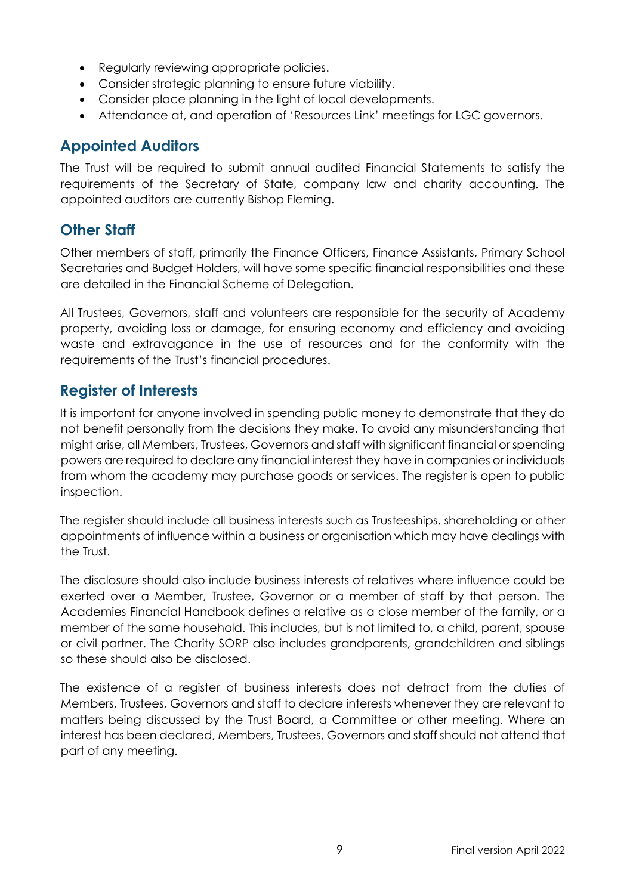- Requiarly reviewing appropriate policies.
- Consider strategic planning to ensure future viability.
- Consider place planning in the light of local developments.
- Attendance at, and operation of 'Resources Link' meetings for LGC governors.

#### <span id="page-8-0"></span>**Appointed Auditors**

The Trust will be required to submit annual audited Financial Statements to satisfy the requirements of the Secretary of State, company law and charity accounting. The appointed auditors are currently Bishop Fleming.

#### <span id="page-8-1"></span>**Other Staff**

Other members of staff, primarily the Finance Officers, Finance Assistants, Primary School Secretaries and Budget Holders, will have some specific financial responsibilities and these are detailed in the Financial Scheme of Delegation.

All Trustees, Governors, staff and volunteers are responsible for the security of Academy property, avoiding loss or damage, for ensuring economy and efficiency and avoiding waste and extravagance in the use of resources and for the conformity with the requirements of the Trust's financial procedures.

#### <span id="page-8-2"></span>**Register of Interests**

It is important for anyone involved in spending public money to demonstrate that they do not benefit personally from the decisions they make. To avoid any misunderstanding that might arise, all Members, Trustees, Governors and staff with significant financial or spending powers are required to declare any financial interest they have in companies or individuals from whom the academy may purchase goods or services. The register is open to public inspection.

The register should include all business interests such as Trusteeships, shareholding or other appointments of influence within a business or organisation which may have dealings with the Trust.

The disclosure should also include business interests of relatives where influence could be exerted over a Member, Trustee, Governor or a member of staff by that person. The Academies Financial Handbook defines a relative as a close member of the family, or a member of the same household. This includes, but is not limited to, a child, parent, spouse or civil partner. The Charity SORP also includes grandparents, grandchildren and siblings so these should also be disclosed.

The existence of a register of business interests does not detract from the duties of Members, Trustees, Governors and staff to declare interests whenever they are relevant to matters being discussed by the Trust Board, a Committee or other meeting. Where an interest has been declared, Members, Trustees, Governors and staff should not attend that part of any meeting.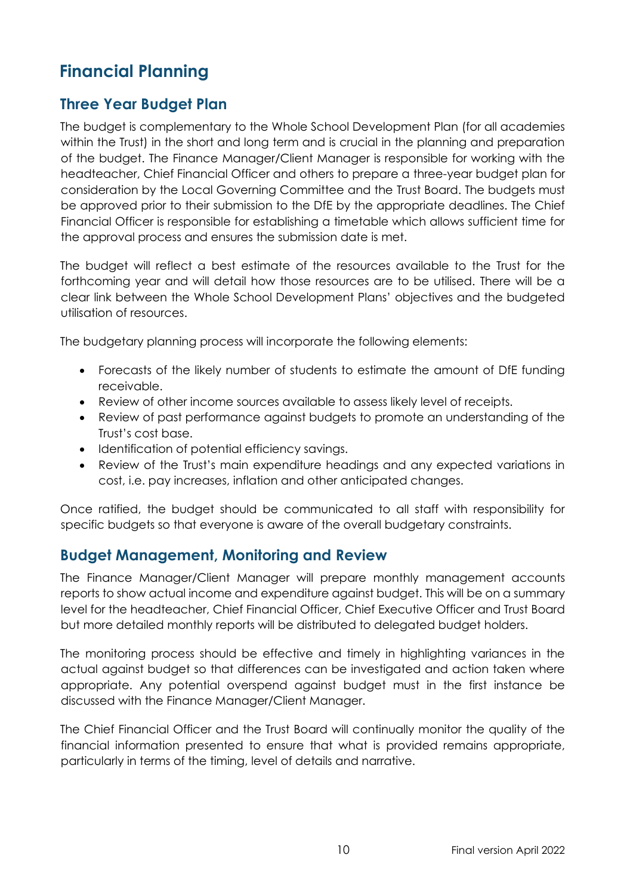# <span id="page-9-0"></span>**Financial Planning**

#### <span id="page-9-1"></span>**Three Year Budget Plan**

The budget is complementary to the Whole School Development Plan (for all academies within the Trust) in the short and long term and is crucial in the planning and preparation of the budget. The Finance Manager/Client Manager is responsible for working with the headteacher, Chief Financial Officer and others to prepare a three-year budget plan for consideration by the Local Governing Committee and the Trust Board. The budgets must be approved prior to their submission to the DfE by the appropriate deadlines. The Chief Financial Officer is responsible for establishing a timetable which allows sufficient time for the approval process and ensures the submission date is met.

The budget will reflect a best estimate of the resources available to the Trust for the forthcoming year and will detail how those resources are to be utilised. There will be a clear link between the Whole School Development Plans' objectives and the budgeted utilisation of resources.

The budgetary planning process will incorporate the following elements:

- Forecasts of the likely number of students to estimate the amount of DfE funding receivable.
- Review of other income sources available to assess likely level of receipts.
- Review of past performance against budgets to promote an understanding of the Trust's cost base.
- Identification of potential efficiency savings.
- Review of the Trust's main expenditure headings and any expected variations in cost, i.e. pay increases, inflation and other anticipated changes.

Once ratified, the budget should be communicated to all staff with responsibility for specific budgets so that everyone is aware of the overall budgetary constraints.

#### <span id="page-9-2"></span>**Budget Management, Monitoring and Review**

The Finance Manager/Client Manager will prepare monthly management accounts reports to show actual income and expenditure against budget. This will be on a summary level for the headteacher, Chief Financial Officer, Chief Executive Officer and Trust Board but more detailed monthly reports will be distributed to delegated budget holders.

The monitoring process should be effective and timely in highlighting variances in the actual against budget so that differences can be investigated and action taken where appropriate. Any potential overspend against budget must in the first instance be discussed with the Finance Manager/Client Manager.

The Chief Financial Officer and the Trust Board will continually monitor the quality of the financial information presented to ensure that what is provided remains appropriate, particularly in terms of the timing, level of details and narrative.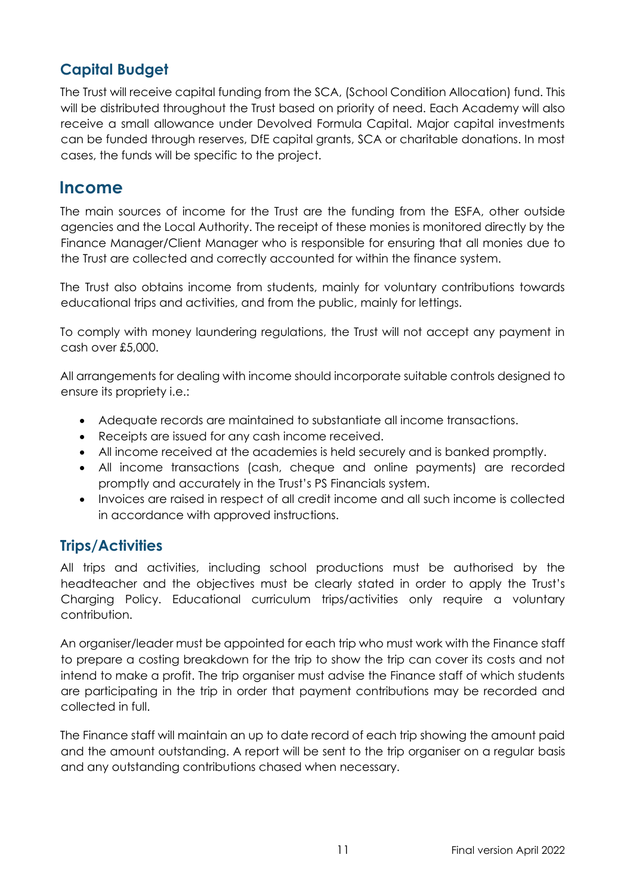## <span id="page-10-0"></span>**Capital Budget**

The Trust will receive capital funding from the SCA, (School Condition Allocation) fund. This will be distributed throughout the Trust based on priority of need. Each Academy will also receive a small allowance under Devolved Formula Capital. Major capital investments can be funded through reserves, DfE capital grants, SCA or charitable donations. In most cases, the funds will be specific to the project.

#### <span id="page-10-1"></span>**Income**

The main sources of income for the Trust are the funding from the ESFA, other outside agencies and the Local Authority. The receipt of these monies is monitored directly by the Finance Manager/Client Manager who is responsible for ensuring that all monies due to the Trust are collected and correctly accounted for within the finance system.

The Trust also obtains income from students, mainly for voluntary contributions towards educational trips and activities, and from the public, mainly for lettings.

To comply with money laundering regulations, the Trust will not accept any payment in cash over £5,000.

All arrangements for dealing with income should incorporate suitable controls designed to ensure its propriety i.e.:

- Adequate records are maintained to substantiate all income transactions.
- Receipts are issued for any cash income received.
- All income received at the academies is held securely and is banked promptly.
- All income transactions (cash, cheque and online payments) are recorded promptly and accurately in the Trust's PS Financials system.
- Invoices are raised in respect of all credit income and all such income is collected in accordance with approved instructions.

#### <span id="page-10-2"></span>**Trips/Activities**

All trips and activities, including school productions must be authorised by the headteacher and the objectives must be clearly stated in order to apply the Trust's Charging Policy. Educational curriculum trips/activities only require a voluntary contribution.

An organiser/leader must be appointed for each trip who must work with the Finance staff to prepare a costing breakdown for the trip to show the trip can cover its costs and not intend to make a profit. The trip organiser must advise the Finance staff of which students are participating in the trip in order that payment contributions may be recorded and collected in full.

The Finance staff will maintain an up to date record of each trip showing the amount paid and the amount outstanding. A report will be sent to the trip organiser on a regular basis and any outstanding contributions chased when necessary.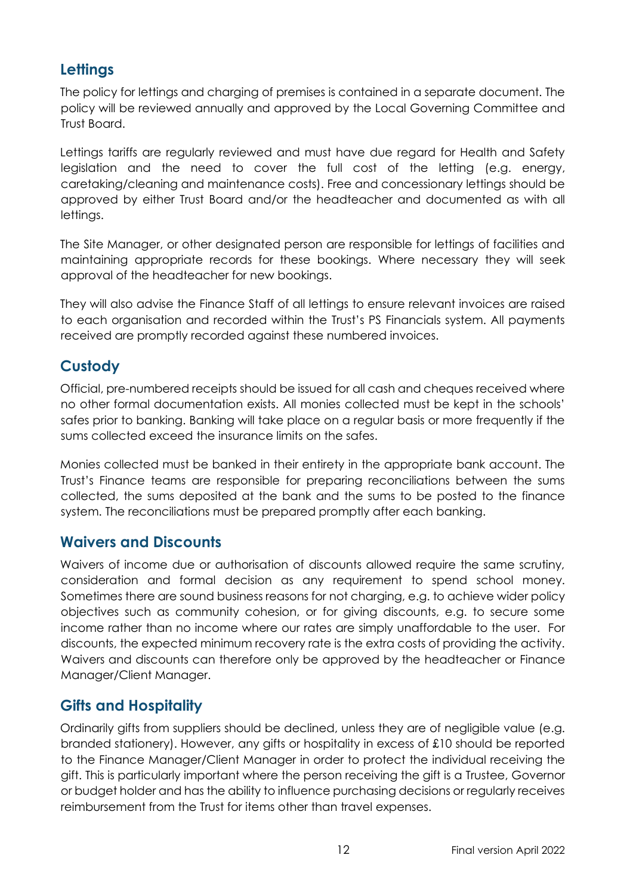## <span id="page-11-0"></span>**Lettings**

The policy for lettings and charging of premises is contained in a separate document. The policy will be reviewed annually and approved by the Local Governing Committee and Trust Board.

Lettings tariffs are regularly reviewed and must have due regard for Health and Safety legislation and the need to cover the full cost of the letting (e.g. energy, caretaking/cleaning and maintenance costs). Free and concessionary lettings should be approved by either Trust Board and/or the headteacher and documented as with all lettings.

The Site Manager, or other designated person are responsible for lettings of facilities and maintaining appropriate records for these bookings. Where necessary they will seek approval of the headteacher for new bookings.

They will also advise the Finance Staff of all lettings to ensure relevant invoices are raised to each organisation and recorded within the Trust's PS Financials system. All payments received are promptly recorded against these numbered invoices.

#### <span id="page-11-1"></span>**Custody**

Official, pre-numbered receipts should be issued for all cash and cheques received where no other formal documentation exists. All monies collected must be kept in the schools' safes prior to banking. Banking will take place on a regular basis or more frequently if the sums collected exceed the insurance limits on the safes.

Monies collected must be banked in their entirety in the appropriate bank account. The Trust's Finance teams are responsible for preparing reconciliations between the sums collected, the sums deposited at the bank and the sums to be posted to the finance system. The reconciliations must be prepared promptly after each banking.

#### <span id="page-11-2"></span>**Waivers and Discounts**

Waivers of income due or authorisation of discounts allowed require the same scrutiny, consideration and formal decision as any requirement to spend school money. Sometimes there are sound business reasons for not charging, e.g. to achieve wider policy objectives such as community cohesion, or for giving discounts, e.g. to secure some income rather than no income where our rates are simply unaffordable to the user. For discounts, the expected minimum recovery rate is the extra costs of providing the activity. Waivers and discounts can therefore only be approved by the headteacher or Finance Manager/Client Manager.

#### <span id="page-11-3"></span>**Gifts and Hospitality**

Ordinarily gifts from suppliers should be declined, unless they are of negligible value (e.g. branded stationery). However, any gifts or hospitality in excess of £10 should be reported to the Finance Manager/Client Manager in order to protect the individual receiving the gift. This is particularly important where the person receiving the gift is a Trustee, Governor or budget holder and has the ability to influence purchasing decisions or regularly receives reimbursement from the Trust for items other than travel expenses.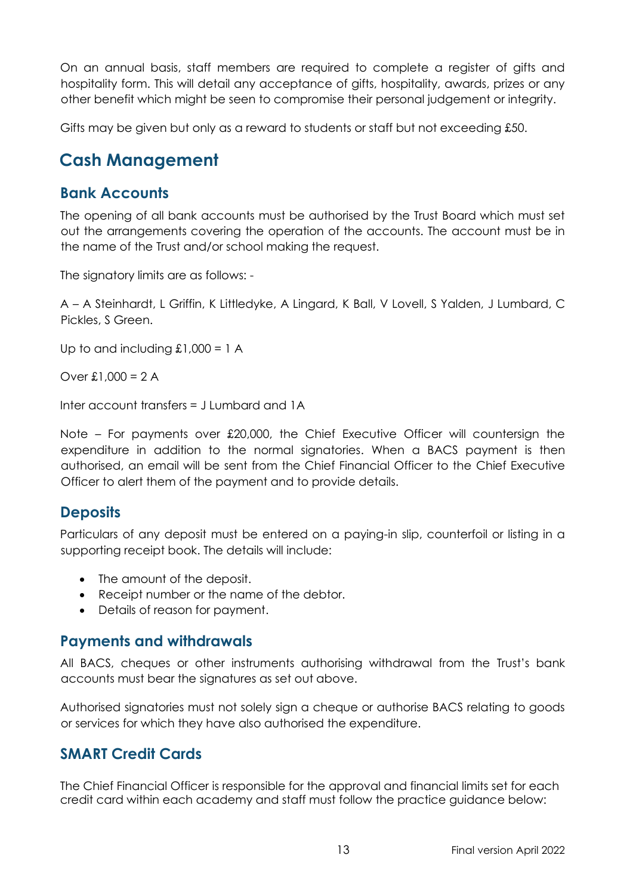On an annual basis, staff members are required to complete a register of gifts and hospitality form. This will detail any acceptance of gifts, hospitality, awards, prizes or any other benefit which might be seen to compromise their personal judgement or integrity.

Gifts may be given but only as a reward to students or staff but not exceeding £50.

# <span id="page-12-0"></span>**Cash Management**

#### <span id="page-12-1"></span>**Bank Accounts**

The opening of all bank accounts must be authorised by the Trust Board which must set out the arrangements covering the operation of the accounts. The account must be in the name of the Trust and/or school making the request.

The signatory limits are as follows: -

A – A Steinhardt, L Griffin, K Littledyke, A Lingard, K Ball, V Lovell, S Yalden, J Lumbard, C Pickles, S Green.

Up to and including  $£1,000 = 1$  A

Over £1,000 =  $2 A$ 

Inter account transfers = J Lumbard and 1A

Note – For payments over £20,000, the Chief Executive Officer will countersign the expenditure in addition to the normal signatories. When a BACS payment is then authorised, an email will be sent from the Chief Financial Officer to the Chief Executive Officer to alert them of the payment and to provide details.

#### <span id="page-12-2"></span>**Deposits**

Particulars of any deposit must be entered on a paying-in slip, counterfoil or listing in a supporting receipt book. The details will include:

- The amount of the deposit.
- Receipt number or the name of the debtor.
- Details of reason for payment.

#### <span id="page-12-3"></span>**Payments and withdrawals**

All BACS, cheques or other instruments authorising withdrawal from the Trust's bank accounts must bear the signatures as set out above.

Authorised signatories must not solely sign a cheque or authorise BACS relating to goods or services for which they have also authorised the expenditure.

#### <span id="page-12-4"></span>**SMART Credit Cards**

The Chief Financial Officer is responsible for the approval and financial limits set for each credit card within each academy and staff must follow the practice guidance below: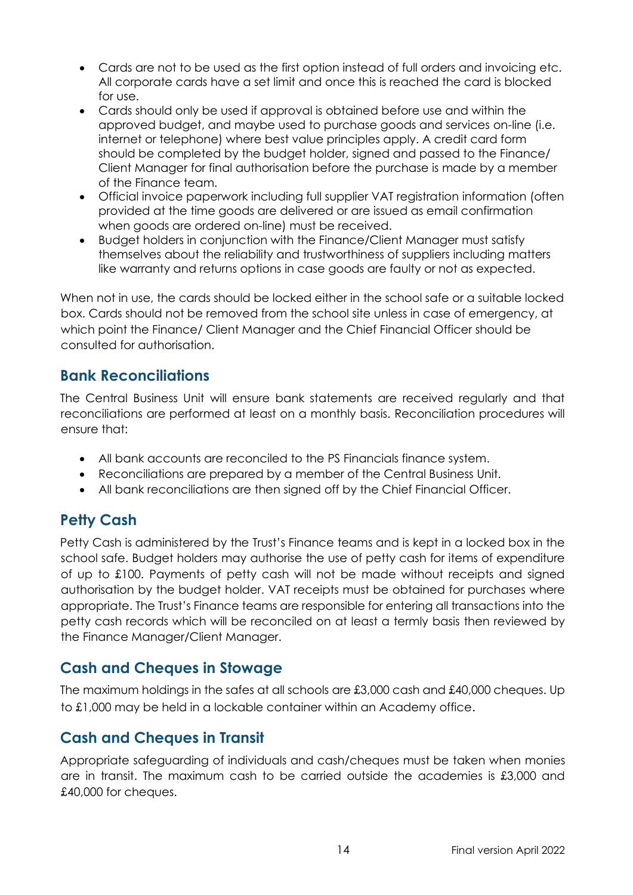- Cards are not to be used as the first option instead of full orders and invoicing etc. All corporate cards have a set limit and once this is reached the card is blocked for use.
- Cards should only be used if approval is obtained before use and within the approved budget, and maybe used to purchase goods and services on-line (i.e. internet or telephone) where best value principles apply. A credit card form should be completed by the budget holder, signed and passed to the Finance/ Client Manager for final authorisation before the purchase is made by a member of the Finance team.
- Official invoice paperwork including full supplier VAT registration information (often provided at the time goods are delivered or are issued as email confirmation when goods are ordered on-line) must be received.
- Budget holders in conjunction with the Finance/Client Manager must satisfy themselves about the reliability and trustworthiness of suppliers including matters like warranty and returns options in case goods are faulty or not as expected.

When not in use, the cards should be locked either in the school safe or a suitable locked box. Cards should not be removed from the school site unless in case of emergency, at which point the Finance/ Client Manager and the Chief Financial Officer should be consulted for authorisation.

#### <span id="page-13-0"></span>**Bank Reconciliations**

The Central Business Unit will ensure bank statements are received regularly and that reconciliations are performed at least on a monthly basis. Reconciliation procedures will ensure that:

- All bank accounts are reconciled to the PS Financials finance system.
- Reconciliations are prepared by a member of the Central Business Unit.
- All bank reconciliations are then signed off by the Chief Financial Officer.

## <span id="page-13-1"></span>**Petty Cash**

Petty Cash is administered by the Trust's Finance teams and is kept in a locked box in the school safe. Budget holders may authorise the use of petty cash for items of expenditure of up to £100. Payments of petty cash will not be made without receipts and signed authorisation by the budget holder. VAT receipts must be obtained for purchases where appropriate. The Trust's Finance teams are responsible for entering all transactions into the petty cash records which will be reconciled on at least a termly basis then reviewed by the Finance Manager/Client Manager.

#### <span id="page-13-2"></span>**Cash and Cheques in Stowage**

The maximum holdings in the safes at all schools are £3,000 cash and £40,000 cheques. Up to £1,000 may be held in a lockable container within an Academy office.

#### <span id="page-13-3"></span>**Cash and Cheques in Transit**

Appropriate safeguarding of individuals and cash/cheques must be taken when monies are in transit. The maximum cash to be carried outside the academies is £3,000 and £40,000 for cheques.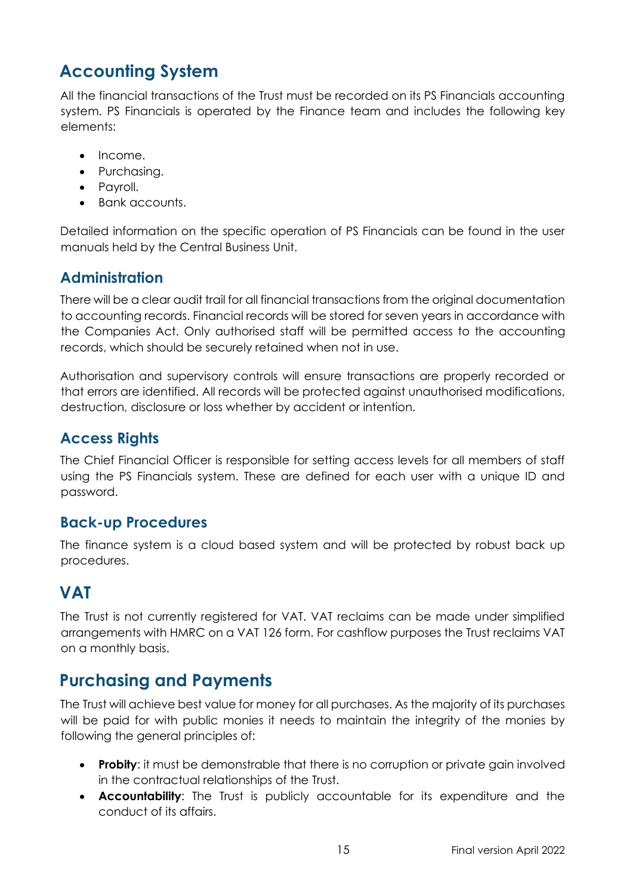# <span id="page-14-0"></span>**Accounting System**

All the financial transactions of the Trust must be recorded on its PS Financials accounting system. PS Financials is operated by the Finance team and includes the following key elements:

- Income.
- Purchasing.
- Payroll.
- Bank accounts.

Detailed information on the specific operation of PS Financials can be found in the user manuals held by the Central Business Unit.

## <span id="page-14-1"></span>**Administration**

There will be a clear audit trail for all financial transactions from the original documentation to accounting records. Financial records will be stored for seven years in accordance with the Companies Act. Only authorised staff will be permitted access to the accounting records, which should be securely retained when not in use.

Authorisation and supervisory controls will ensure transactions are properly recorded or that errors are identified. All records will be protected against unauthorised modifications, destruction, disclosure or loss whether by accident or intention.

#### <span id="page-14-2"></span>**Access Rights**

The Chief Financial Officer is responsible for setting access levels for all members of staff using the PS Financials system. These are defined for each user with a unique ID and password.

#### <span id="page-14-3"></span>**Back-up Procedures**

The finance system is a cloud based system and will be protected by robust back up procedures.

# <span id="page-14-4"></span>**VAT**

The Trust is not currently registered for VAT. VAT reclaims can be made under simplified arrangements with HMRC on a VAT 126 form. For cashflow purposes the Trust reclaims VAT on a monthly basis.

# <span id="page-14-5"></span>**Purchasing and Payments**

The Trust will achieve best value for money for all purchases. As the majority of its purchases will be paid for with public monies it needs to maintain the integrity of the monies by following the general principles of:

- **Probity**: it must be demonstrable that there is no corruption or private gain involved in the contractual relationships of the Trust.
- **Accountability**: The Trust is publicly accountable for its expenditure and the conduct of its affairs.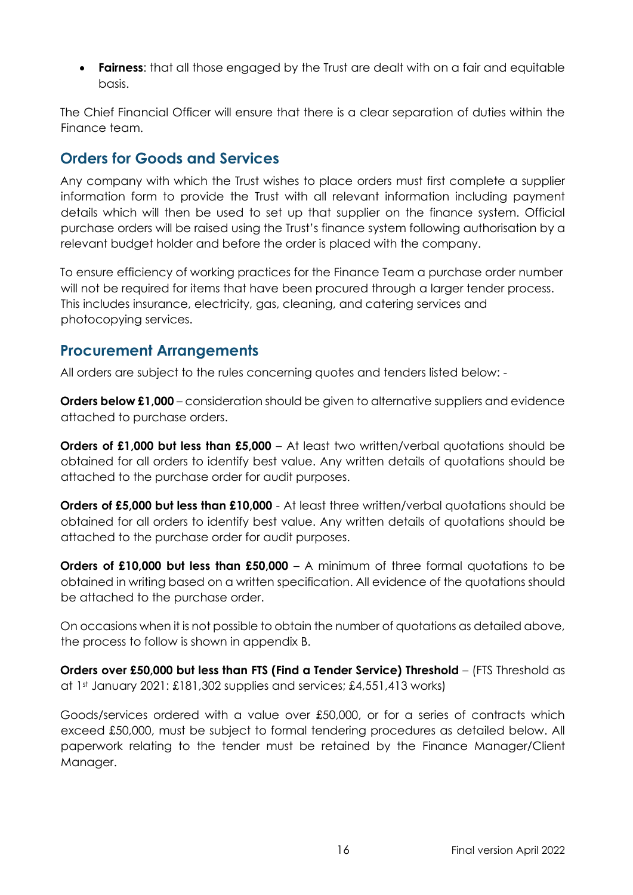• **Fairness:** that all those engaged by the Trust are dealt with on a fair and equitable basis.

The Chief Financial Officer will ensure that there is a clear separation of duties within the Finance team.

## <span id="page-15-0"></span>**Orders for Goods and Services**

Any company with which the Trust wishes to place orders must first complete a supplier information form to provide the Trust with all relevant information including payment details which will then be used to set up that supplier on the finance system. Official purchase orders will be raised using the Trust's finance system following authorisation by a relevant budget holder and before the order is placed with the company.

To ensure efficiency of working practices for the Finance Team a purchase order number will not be required for items that have been procured through a larger tender process. This includes insurance, electricity, gas, cleaning, and catering services and photocopying services.

#### <span id="page-15-1"></span>**Procurement Arrangements**

All orders are subject to the rules concerning quotes and tenders listed below: -

**Orders below £1,000** – consideration should be given to alternative suppliers and evidence attached to purchase orders.

**Orders of £1,000 but less than £5,000** – At least two written/verbal quotations should be obtained for all orders to identify best value. Any written details of quotations should be attached to the purchase order for audit purposes.

**Orders of £5,000 but less than £10,000** - At least three written/verbal quotations should be obtained for all orders to identify best value. Any written details of quotations should be attached to the purchase order for audit purposes.

**Orders of £10,000 but less than £50,000** – A minimum of three formal quotations to be obtained in writing based on a written specification. All evidence of the quotations should be attached to the purchase order.

On occasions when it is not possible to obtain the number of quotations as detailed above, the process to follow is shown in appendix B.

**Orders over £50,000 but less than FTS (Find a Tender Service) Threshold** – (FTS Threshold as at 1st January 2021:  $\pounds181,302$  supplies and services;  $\pounds4,551,413$  works)

Goods/services ordered with a value over £50,000, or for a series of contracts which exceed £50,000, must be subject to formal tendering procedures as detailed below. All paperwork relating to the tender must be retained by the Finance Manager/Client Manager.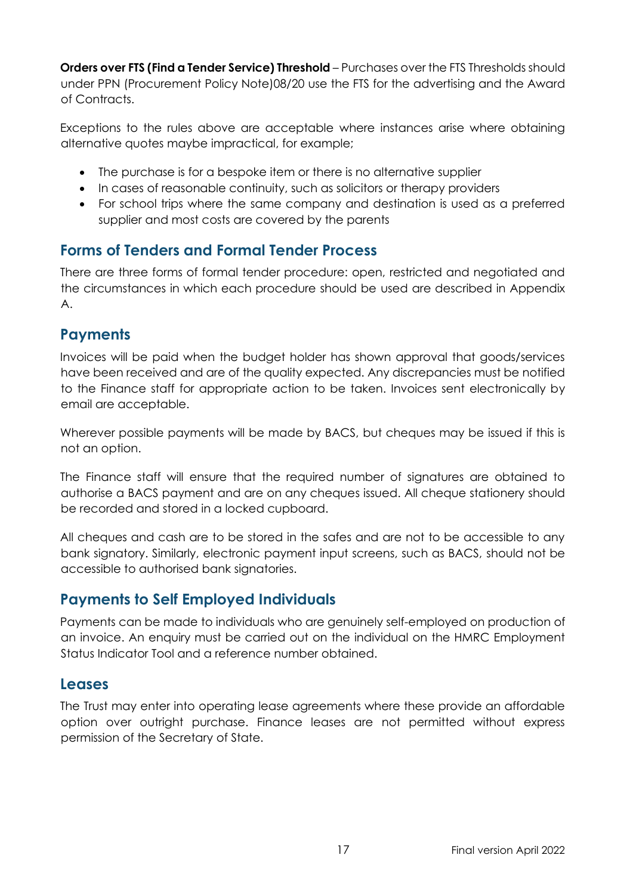**Orders over FTS (Find a Tender Service) Threshold** – Purchases over the FTS Thresholds should under PPN (Procurement Policy Note)08/20 use the FTS for the advertising and the Award of Contracts.

Exceptions to the rules above are acceptable where instances arise where obtaining alternative quotes maybe impractical, for example;

- The purchase is for a bespoke item or there is no alternative supplier
- In cases of reasonable continuity, such as solicitors or therapy providers
- For school trips where the same company and destination is used as a preferred supplier and most costs are covered by the parents

#### <span id="page-16-0"></span>**Forms of Tenders and Formal Tender Process**

There are three forms of formal tender procedure: open, restricted and negotiated and the circumstances in which each procedure should be used are described in Appendix A.

#### <span id="page-16-1"></span>**Payments**

Invoices will be paid when the budget holder has shown approval that goods/services have been received and are of the quality expected. Any discrepancies must be notified to the Finance staff for appropriate action to be taken. Invoices sent electronically by email are acceptable.

Wherever possible payments will be made by BACS, but cheques may be issued if this is not an option.

The Finance staff will ensure that the required number of signatures are obtained to authorise a BACS payment and are on any cheques issued. All cheque stationery should be recorded and stored in a locked cupboard.

All cheques and cash are to be stored in the safes and are not to be accessible to any bank signatory. Similarly, electronic payment input screens, such as BACS, should not be accessible to authorised bank signatories.

#### <span id="page-16-2"></span>**Payments to Self Employed Individuals**

Payments can be made to individuals who are genuinely self-employed on production of an invoice. An enquiry must be carried out on the individual on the HMRC Employment Status Indicator Tool and a reference number obtained.

#### <span id="page-16-3"></span>**Leases**

The Trust may enter into operating lease agreements where these provide an affordable option over outright purchase. Finance leases are not permitted without express permission of the Secretary of State.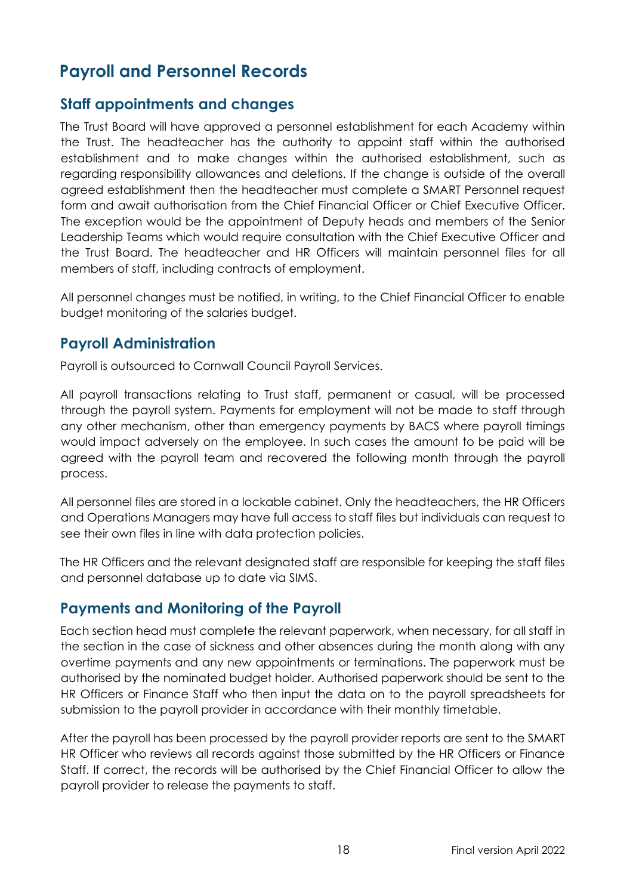# <span id="page-17-0"></span>**Payroll and Personnel Records**

#### <span id="page-17-1"></span>**Staff appointments and changes**

The Trust Board will have approved a personnel establishment for each Academy within the Trust. The headteacher has the authority to appoint staff within the authorised establishment and to make changes within the authorised establishment, such as regarding responsibility allowances and deletions. If the change is outside of the overall agreed establishment then the headteacher must complete a SMART Personnel request form and await authorisation from the Chief Financial Officer or Chief Executive Officer. The exception would be the appointment of Deputy heads and members of the Senior Leadership Teams which would require consultation with the Chief Executive Officer and the Trust Board. The headteacher and HR Officers will maintain personnel files for all members of staff, including contracts of employment.

All personnel changes must be notified, in writing, to the Chief Financial Officer to enable budget monitoring of the salaries budget.

#### <span id="page-17-2"></span>**Payroll Administration**

Payroll is outsourced to Cornwall Council Payroll Services.

All payroll transactions relating to Trust staff, permanent or casual, will be processed through the payroll system. Payments for employment will not be made to staff through any other mechanism, other than emergency payments by BACS where payroll timings would impact adversely on the employee. In such cases the amount to be paid will be agreed with the payroll team and recovered the following month through the payroll process.

All personnel files are stored in a lockable cabinet. Only the headteachers, the HR Officers and Operations Managers may have full access to staff files but individuals can request to see their own files in line with data protection policies.

The HR Officers and the relevant designated staff are responsible for keeping the staff files and personnel database up to date via SIMS.

#### <span id="page-17-3"></span>**Payments and Monitoring of the Payroll**

Each section head must complete the relevant paperwork, when necessary, for all staff in the section in the case of sickness and other absences during the month along with any overtime payments and any new appointments or terminations. The paperwork must be authorised by the nominated budget holder. Authorised paperwork should be sent to the HR Officers or Finance Staff who then input the data on to the payroll spreadsheets for submission to the payroll provider in accordance with their monthly timetable.

After the payroll has been processed by the payroll provider reports are sent to the SMART HR Officer who reviews all records against those submitted by the HR Officers or Finance Staff. If correct, the records will be authorised by the Chief Financial Officer to allow the payroll provider to release the payments to staff.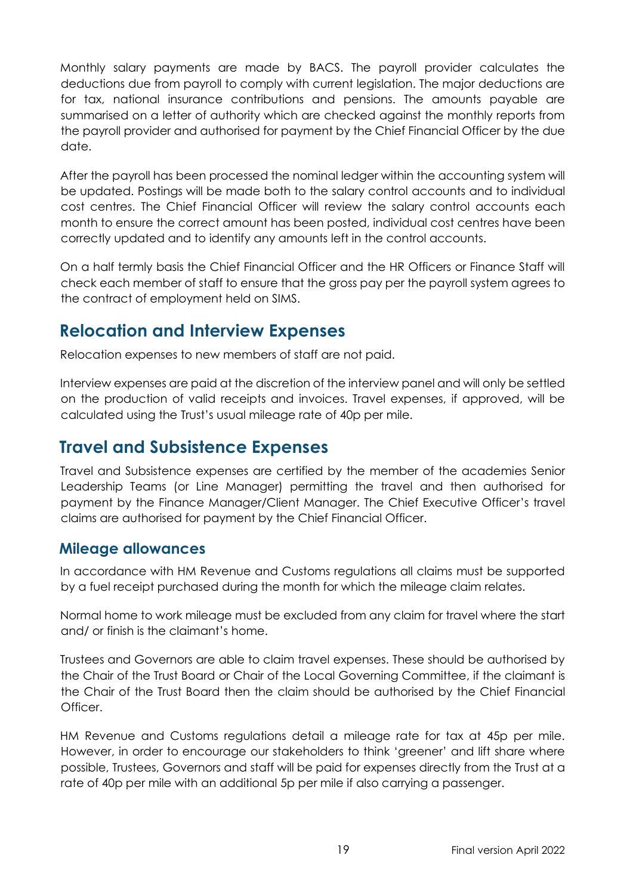Monthly salary payments are made by BACS. The payroll provider calculates the deductions due from payroll to comply with current legislation. The major deductions are for tax, national insurance contributions and pensions. The amounts payable are summarised on a letter of authority which are checked against the monthly reports from the payroll provider and authorised for payment by the Chief Financial Officer by the due date.

After the payroll has been processed the nominal ledger within the accounting system will be updated. Postings will be made both to the salary control accounts and to individual cost centres. The Chief Financial Officer will review the salary control accounts each month to ensure the correct amount has been posted, individual cost centres have been correctly updated and to identify any amounts left in the control accounts.

On a half termly basis the Chief Financial Officer and the HR Officers or Finance Staff will check each member of staff to ensure that the gross pay per the payroll system agrees to the contract of employment held on SIMS.

# <span id="page-18-0"></span>**Relocation and Interview Expenses**

Relocation expenses to new members of staff are not paid.

Interview expenses are paid at the discretion of the interview panel and will only be settled on the production of valid receipts and invoices. Travel expenses, if approved, will be calculated using the Trust's usual mileage rate of 40p per mile.

# <span id="page-18-1"></span>**Travel and Subsistence Expenses**

Travel and Subsistence expenses are certified by the member of the academies Senior Leadership Teams (or Line Manager) permitting the travel and then authorised for payment by the Finance Manager/Client Manager. The Chief Executive Officer's travel claims are authorised for payment by the Chief Financial Officer.

#### <span id="page-18-2"></span>**Mileage allowances**

In accordance with HM Revenue and Customs regulations all claims must be supported by a fuel receipt purchased during the month for which the mileage claim relates.

Normal home to work mileage must be excluded from any claim for travel where the start and/ or finish is the claimant's home.

Trustees and Governors are able to claim travel expenses. These should be authorised by the Chair of the Trust Board or Chair of the Local Governing Committee, if the claimant is the Chair of the Trust Board then the claim should be authorised by the Chief Financial Officer

HM Revenue and Customs regulations detail a mileage rate for tax at 45p per mile. However, in order to encourage our stakeholders to think 'greener' and lift share where possible, Trustees, Governors and staff will be paid for expenses directly from the Trust at a rate of 40p per mile with an additional 5p per mile if also carrying a passenger.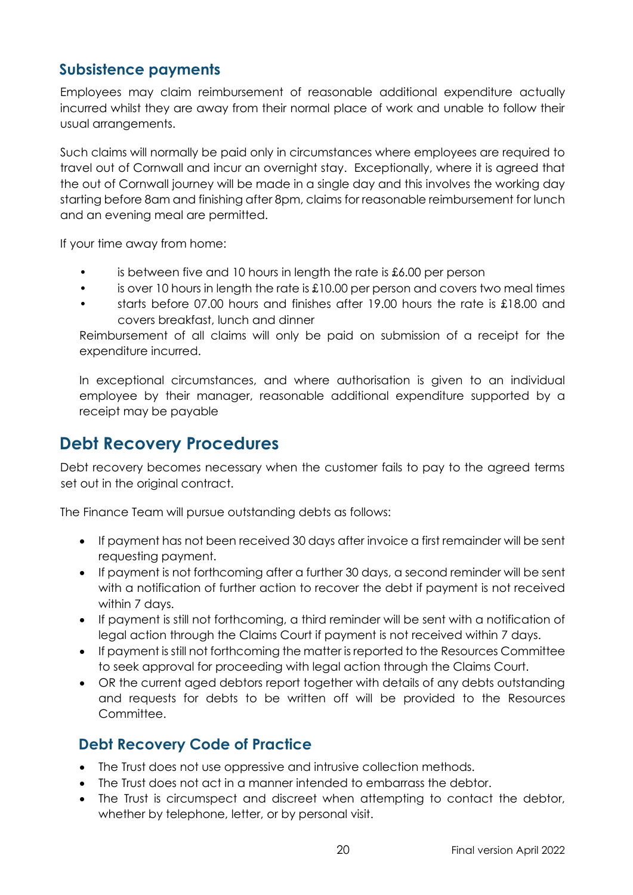#### <span id="page-19-0"></span>**Subsistence payments**

Employees may claim reimbursement of reasonable additional expenditure actually incurred whilst they are away from their normal place of work and unable to follow their usual arrangements.

Such claims will normally be paid only in circumstances where employees are required to travel out of Cornwall and incur an overnight stay. Exceptionally, where it is agreed that the out of Cornwall journey will be made in a single day and this involves the working day starting before 8am and finishing after 8pm, claims for reasonable reimbursement for lunch and an evening meal are permitted.

If your time away from home:

- is between five and 10 hours in length the rate is £6.00 per person
- is over 10 hours in length the rate is  $\pounds10.00$  per person and covers two meal times
- starts before 07.00 hours and finishes after 19.00 hours the rate is £18.00 and covers breakfast, lunch and dinner

Reimbursement of all claims will only be paid on submission of a receipt for the expenditure incurred.

In exceptional circumstances, and where authorisation is given to an individual employee by their manager, reasonable additional expenditure supported by a receipt may be payable

## <span id="page-19-1"></span>**Debt Recovery Procedures**

Debt recovery becomes necessary when the customer fails to pay to the agreed terms set out in the original contract.

The Finance Team will pursue outstanding debts as follows:

- If payment has not been received 30 days after invoice a first remainder will be sent requesting payment.
- If payment is not forthcoming after a further 30 days, a second reminder will be sent with a notification of further action to recover the debt if payment is not received within 7 days.
- If payment is still not forthcoming, a third reminder will be sent with a notification of legal action through the Claims Court if payment is not received within 7 days.
- If payment is still not forthcoming the matter is reported to the Resources Committee to seek approval for proceeding with legal action through the Claims Court.
- OR the current aged debtors report together with details of any debts outstanding and requests for debts to be written off will be provided to the Resources **Committee**

#### <span id="page-19-2"></span>**Debt Recovery Code of Practice**

- The Trust does not use oppressive and intrusive collection methods.
- The Trust does not act in a manner intended to embarrass the debtor.
- The Trust is circumspect and discreet when attempting to contact the debtor, whether by telephone, letter, or by personal visit.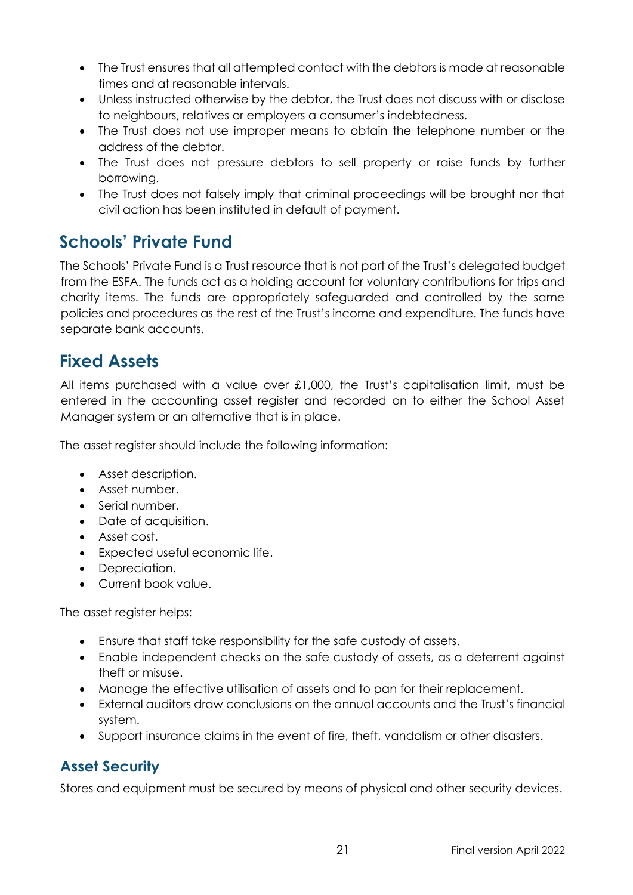- The Trust ensures that all attempted contact with the debtors is made at reasonable times and at reasonable intervals.
- Unless instructed otherwise by the debtor, the Trust does not discuss with or disclose to neighbours, relatives or employers a consumer's indebtedness.
- The Trust does not use improper means to obtain the telephone number or the address of the debtor.
- The Trust does not pressure debtors to sell property or raise funds by further borrowing.
- The Trust does not falsely imply that criminal proceedings will be brought nor that civil action has been instituted in default of payment.

# <span id="page-20-0"></span>**Schools' Private Fund**

The Schools' Private Fund is a Trust resource that is not part of the Trust's delegated budget from the ESFA. The funds act as a holding account for voluntary contributions for trips and charity items. The funds are appropriately safeguarded and controlled by the same policies and procedures as the rest of the Trust's income and expenditure. The funds have separate bank accounts.

# <span id="page-20-1"></span>**Fixed Assets**

All items purchased with a value over £1,000, the Trust's capitalisation limit, must be entered in the accounting asset register and recorded on to either the School Asset Manager system or an alternative that is in place.

The asset register should include the following information:

- Asset description.
- Asset number.
- Serial number.
- Date of acquisition.
- Asset cost.
- Expected useful economic life.
- Depreciation.
- Current book value.

The asset register helps:

- Ensure that staff take responsibility for the safe custody of assets.
- Enable independent checks on the safe custody of assets, as a deterrent against theft or misuse.
- Manage the effective utilisation of assets and to pan for their replacement.
- External auditors draw conclusions on the annual accounts and the Trust's financial system.
- Support insurance claims in the event of fire, theft, vandalism or other disasters.

#### <span id="page-20-2"></span>**Asset Security**

Stores and equipment must be secured by means of physical and other security devices.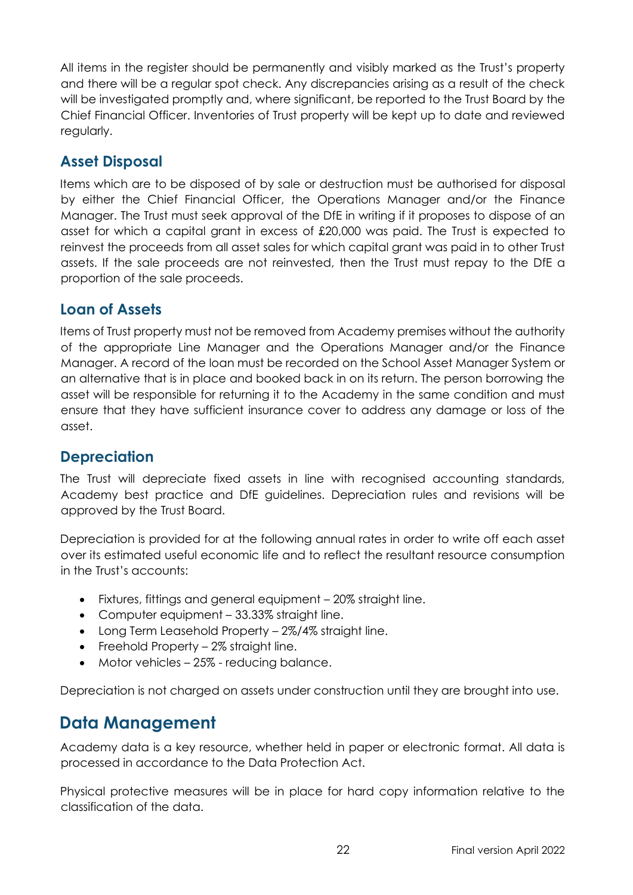All items in the register should be permanently and visibly marked as the Trust's property and there will be a regular spot check. Any discrepancies arising as a result of the check will be investigated promptly and, where significant, be reported to the Trust Board by the Chief Financial Officer. Inventories of Trust property will be kept up to date and reviewed regularly.

## <span id="page-21-0"></span>**Asset Disposal**

Items which are to be disposed of by sale or destruction must be authorised for disposal by either the Chief Financial Officer, the Operations Manager and/or the Finance Manager. The Trust must seek approval of the DfE in writing if it proposes to dispose of an asset for which a capital grant in excess of £20,000 was paid. The Trust is expected to reinvest the proceeds from all asset sales for which capital grant was paid in to other Trust assets. If the sale proceeds are not reinvested, then the Trust must repay to the DfE a proportion of the sale proceeds.

#### <span id="page-21-1"></span>**Loan of Assets**

Items of Trust property must not be removed from Academy premises without the authority of the appropriate Line Manager and the Operations Manager and/or the Finance Manager. A record of the loan must be recorded on the School Asset Manager System or an alternative that is in place and booked back in on its return. The person borrowing the asset will be responsible for returning it to the Academy in the same condition and must ensure that they have sufficient insurance cover to address any damage or loss of the asset.

#### <span id="page-21-2"></span>**Depreciation**

The Trust will depreciate fixed assets in line with recognised accounting standards, Academy best practice and DfE guidelines. Depreciation rules and revisions will be approved by the Trust Board.

Depreciation is provided for at the following annual rates in order to write off each asset over its estimated useful economic life and to reflect the resultant resource consumption in the Trust's accounts:

- Fixtures, fittings and general equipment 20% straight line.
- Computer equipment 33.33% straight line.
- Long Term Leasehold Property 2%/4% straight line.
- Freehold Property 2% straight line.
- Motor vehicles 25% reducing balance.

Depreciation is not charged on assets under construction until they are brought into use.

# <span id="page-21-3"></span>**Data Management**

Academy data is a key resource, whether held in paper or electronic format. All data is processed in accordance to the Data Protection Act.

Physical protective measures will be in place for hard copy information relative to the classification of the data.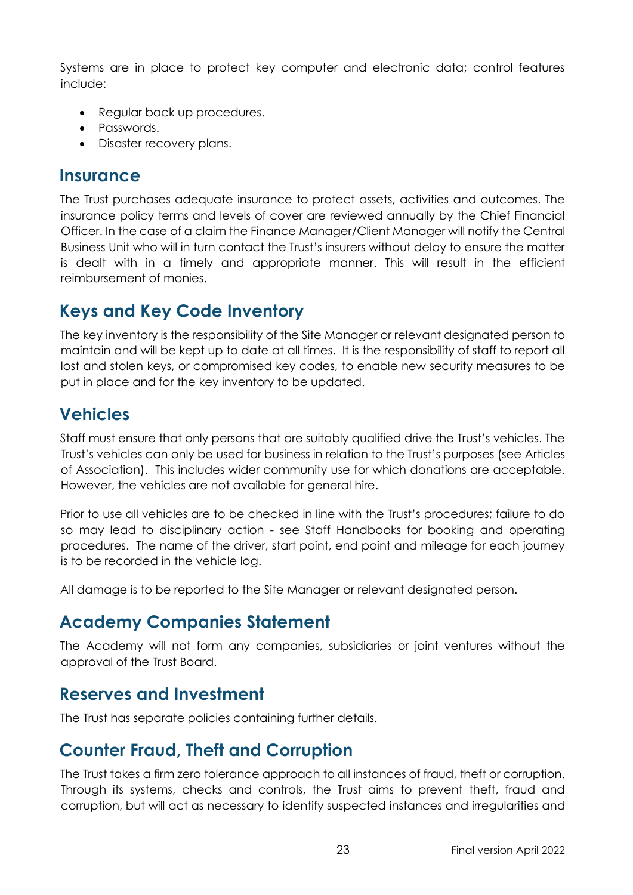Systems are in place to protect key computer and electronic data; control features include:

- Regular back up procedures.
- Passwords.
- Disaster recovery plans.

## <span id="page-22-0"></span>**Insurance**

The Trust purchases adequate insurance to protect assets, activities and outcomes. The insurance policy terms and levels of cover are reviewed annually by the Chief Financial Officer. In the case of a claim the Finance Manager/Client Manager will notify the Central Business Unit who will in turn contact the Trust's insurers without delay to ensure the matter is dealt with in a timely and appropriate manner. This will result in the efficient reimbursement of monies.

# <span id="page-22-1"></span>**Keys and Key Code Inventory**

The key inventory is the responsibility of the Site Manager or relevant designated person to maintain and will be kept up to date at all times. It is the responsibility of staff to report all lost and stolen keys, or compromised key codes, to enable new security measures to be put in place and for the key inventory to be updated.

# <span id="page-22-2"></span>**Vehicles**

Staff must ensure that only persons that are suitably qualified drive the Trust's vehicles. The Trust's vehicles can only be used for business in relation to the Trust's purposes (see Articles of Association). This includes wider community use for which donations are acceptable. However, the vehicles are not available for general hire.

Prior to use all vehicles are to be checked in line with the Trust's procedures; failure to do so may lead to disciplinary action - see Staff Handbooks for booking and operating procedures. The name of the driver, start point, end point and mileage for each journey is to be recorded in the vehicle log.

All damage is to be reported to the Site Manager or relevant designated person.

# <span id="page-22-3"></span>**Academy Companies Statement**

The Academy will not form any companies, subsidiaries or joint ventures without the approval of the Trust Board.

# <span id="page-22-4"></span>**Reserves and Investment**

The Trust has separate policies containing further details.

# <span id="page-22-5"></span>**Counter Fraud, Theft and Corruption**

The Trust takes a firm zero tolerance approach to all instances of fraud, theft or corruption. Through its systems, checks and controls, the Trust aims to prevent theft, fraud and corruption, but will act as necessary to identify suspected instances and irregularities and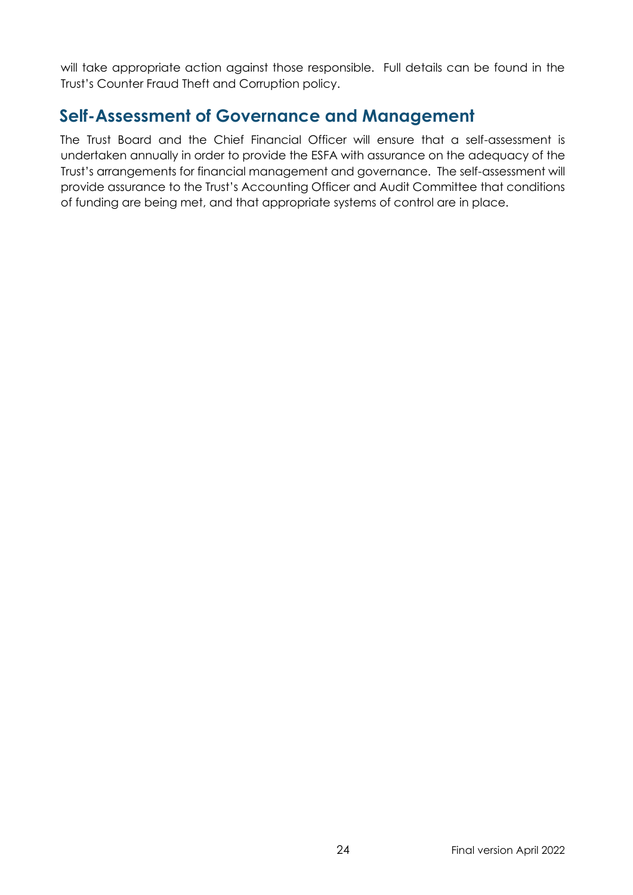will take appropriate action against those responsible. Full details can be found in the Trust's Counter Fraud Theft and Corruption policy.

# <span id="page-23-0"></span>**Self-Assessment of Governance and Management**

The Trust Board and the Chief Financial Officer will ensure that a self-assessment is undertaken annually in order to provide the ESFA with assurance on the adequacy of the Trust's arrangements for financial management and governance. The self-assessment will provide assurance to the Trust's Accounting Officer and Audit Committee that conditions of funding are being met, and that appropriate systems of control are in place.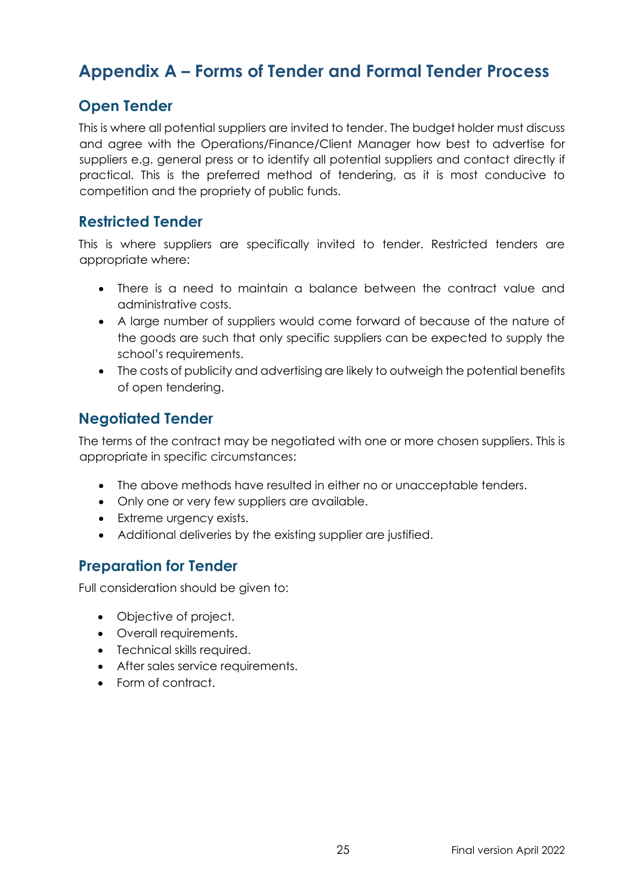# **Appendix A – Forms of Tender and Formal Tender Process**

## <span id="page-24-0"></span>**Open Tender**

This is where all potential suppliers are invited to tender. The budget holder must discuss and agree with the Operations/Finance/Client Manager how best to advertise for suppliers e.g. general press or to identify all potential suppliers and contact directly if practical. This is the preferred method of tendering, as it is most conducive to competition and the propriety of public funds.

#### <span id="page-24-1"></span>**Restricted Tender**

This is where suppliers are specifically invited to tender. Restricted tenders are appropriate where:

- There is a need to maintain a balance between the contract value and administrative costs.
- A large number of suppliers would come forward of because of the nature of the goods are such that only specific suppliers can be expected to supply the school's requirements.
- The costs of publicity and advertising are likely to outweigh the potential benefits of open tendering.

## <span id="page-24-2"></span>**Negotiated Tender**

The terms of the contract may be negotiated with one or more chosen suppliers. This is appropriate in specific circumstances:

- The above methods have resulted in either no or unacceptable tenders.
- Only one or very few suppliers are available.
- Extreme urgency exists.
- Additional deliveries by the existing supplier are justified.

#### <span id="page-24-3"></span>**Preparation for Tender**

Full consideration should be given to:

- Objective of project.
- Overall requirements.
- Technical skills required.
- After sales service requirements.
- Form of contract.